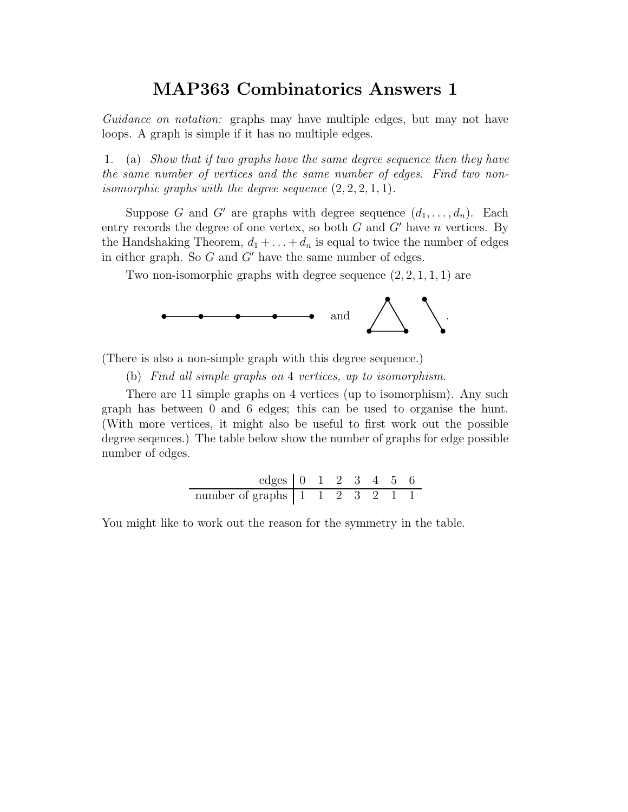Guidance on notation: graphs may have multiple edges, but may not have loops. A graph is simple if it has no multiple edges.

1. (a) Show that if two graphs have the same degree sequence then they have the same number of vertices and the same number of edges. Find two nonisomorphic graphs with the degree sequence  $(2, 2, 2, 1, 1)$ .

Suppose G and G' are graphs with degree sequence  $(d_1, \ldots, d_n)$ . Each entry records the degree of one vertex, so both  $G$  and  $G'$  have n vertices. By the Handshaking Theorem,  $d_1 + \ldots + d_n$  is equal to twice the number of edges in either graph. So  $G$  and  $G'$  have the same number of edges.

Two non-isomorphic graphs with degree sequence  $(2, 2, 1, 1, 1)$  are



(There is also a non-simple graph with this degree sequence.)

 $\overline{a}$ 

(b) Find all simple graphs on 4 vertices, up to isomorphism.

There are 11 simple graphs on 4 vertices (up to isomorphism). Any such graph has between 0 and 6 edges; this can be used to organise the hunt. (With more vertices, it might also be useful to first work out the possible degree seqences.) The table below show the number of graphs for edge possible number of edges.

edges 0 1 2 3 4 5 6 number of graphs 1 1 2 3 2 1 1

You might like to work out the reason for the symmetry in the table.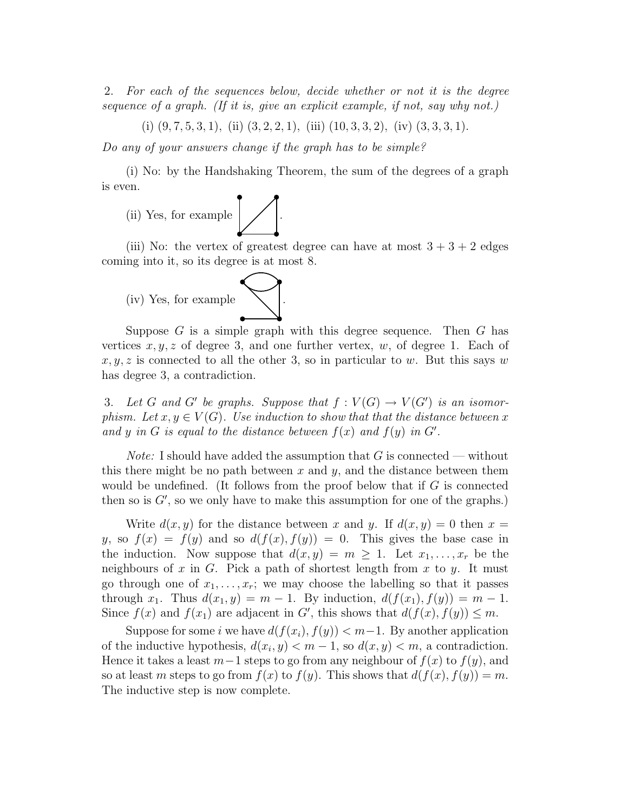2. For each of the sequences below, decide whether or not it is the degree sequence of a graph. (If it is, give an explicit example, if not, say why not.)

(i)  $(9, 7, 5, 3, 1)$ , (ii)  $(3, 2, 2, 1)$ , (iii)  $(10, 3, 3, 2)$ , (iv)  $(3, 3, 3, 1)$ .

Do any of your answers change if the graph has to be simple?

(i) No: by the Handshaking Theorem, the sum of the degrees of a graph is even.

(ii) Yes, for example  $\left\vert \vphantom{\int }\right\vert$ 

(iii) No: the vertex of greatest degree can have at most  $3 + 3 + 2$  edges coming into it, so its degree is at most 8.

(iv) Yes, for example .

Suppose  $G$  is a simple graph with this degree sequence. Then  $G$  has vertices  $x, y, z$  of degree 3, and one further vertex, w, of degree 1. Each of  $x, y, z$  is connected to all the other 3, so in particular to w. But this says w has degree 3, a contradiction.

3. Let G and G' be graphs. Suppose that  $f: V(G) \to V(G')$  is an isomorphism. Let  $x, y \in V(G)$ . Use induction to show that that the distance between x and y in G is equal to the distance between  $f(x)$  and  $f(y)$  in G'.

*Note:* I should have added the assumption that  $G$  is connected — without this there might be no path between x and y, and the distance between them would be undefined. (It follows from the proof below that if  $G$  is connected then so is  $G'$ , so we only have to make this assumption for one of the graphs.)

Write  $d(x, y)$  for the distance between x and y. If  $d(x, y) = 0$  then  $x =$ y, so  $f(x) = f(y)$  and so  $d(f(x), f(y)) = 0$ . This gives the base case in the induction. Now suppose that  $d(x, y) = m \ge 1$ . Let  $x_1, \ldots, x_r$  be the neighbours of  $x$  in  $G$ . Pick a path of shortest length from  $x$  to  $y$ . It must go through one of  $x_1, \ldots, x_r$ ; we may choose the labelling so that it passes through  $x_1$ . Thus  $d(x_1, y) = m - 1$ . By induction,  $d(f(x_1), f(y)) = m - 1$ . Since  $f(x)$  and  $f(x_1)$  are adjacent in G', this shows that  $d(f(x), f(y)) \leq m$ .

Suppose for some i we have  $d(f(x_i), f(y)) < m-1$ . By another application of the inductive hypothesis,  $d(x_i, y) < m - 1$ , so  $d(x, y) < m$ , a contradiction. Hence it takes a least  $m-1$  steps to go from any neighbour of  $f(x)$  to  $f(y)$ , and so at least m steps to go from  $f(x)$  to  $f(y)$ . This shows that  $d(f(x), f(y)) = m$ . The inductive step is now complete.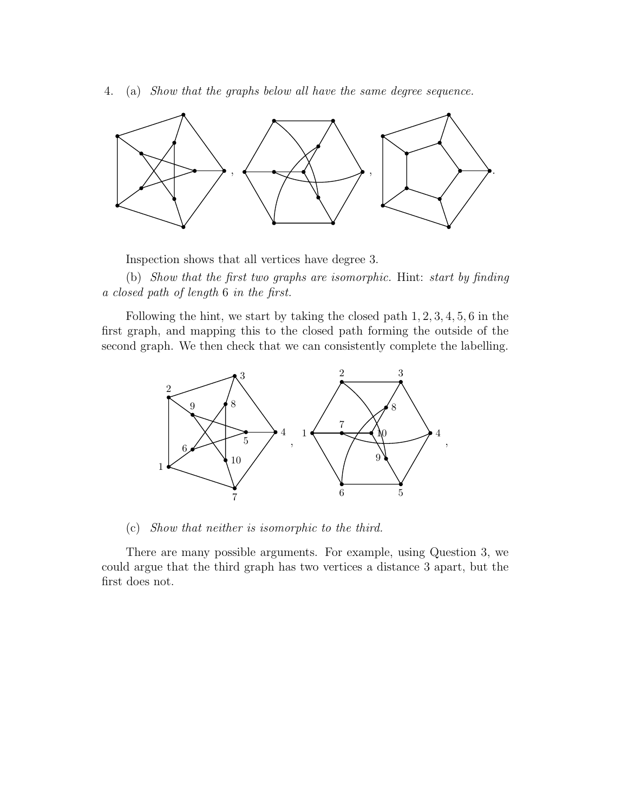4. (a) Show that the graphs below all have the same degree sequence.



Inspection shows that all vertices have degree 3.

(b) Show that the first two graphs are isomorphic. Hint: start by finding a closed path of length 6 in the first.

Following the hint, we start by taking the closed path 1, 2, 3, 4, 5, 6 in the first graph, and mapping this to the closed path forming the outside of the second graph. We then check that we can consistently complete the labelling.



(c) Show that neither is isomorphic to the third.

There are many possible arguments. For example, using Question 3, we could argue that the third graph has two vertices a distance 3 apart, but the first does not.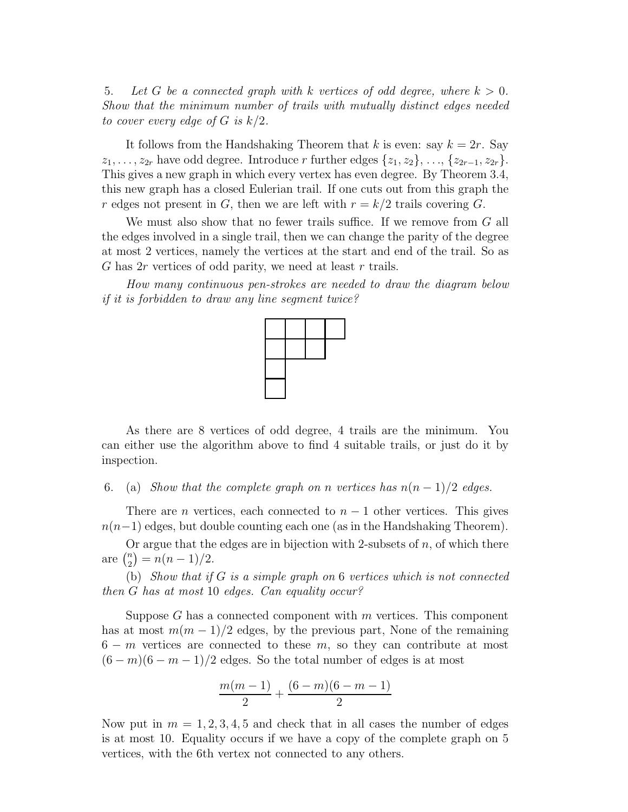5. Let G be a connected graph with k vertices of odd degree, where  $k > 0$ . Show that the minimum number of trails with mutually distinct edges needed to cover every edge of G is  $k/2$ .

It follows from the Handshaking Theorem that k is even: say  $k = 2r$ . Say  $z_1, \ldots, z_{2r}$  have odd degree. Introduce r further edges  $\{z_1, z_2\}, \ldots, \{z_{2r-1}, z_{2r}\}.$ This gives a new graph in which every vertex has even degree. By Theorem 3.4, this new graph has a closed Eulerian trail. If one cuts out from this graph the r edges not present in G, then we are left with  $r = k/2$  trails covering G.

We must also show that no fewer trails suffice. If we remove from G all the edges involved in a single trail, then we can change the parity of the degree at most 2 vertices, namely the vertices at the start and end of the trail. So as G has  $2r$  vertices of odd parity, we need at least r trails.

How many continuous pen-strokes are needed to draw the diagram below if it is forbidden to draw any line segment twice?



As there are 8 vertices of odd degree, 4 trails are the minimum. You can either use the algorithm above to find 4 suitable trails, or just do it by inspection.

6. (a) Show that the complete graph on n vertices has  $n(n-1)/2$  edges.

There are *n* vertices, each connected to  $n - 1$  other vertices. This gives  $n(n-1)$  edges, but double counting each one (as in the Handshaking Theorem).

Or argue that the edges are in bijection with 2-subsets of  $n$ , of which there are  $\binom{n}{2} = n(n-1)/2$ .

(b) Show that if  $G$  is a simple graph on  $6$  vertices which is not connected then G has at most 10 edges. Can equality occur?

Suppose  $G$  has a connected component with  $m$  vertices. This component has at most  $m(m-1)/2$  edges, by the previous part, None of the remaining  $6 - m$  vertices are connected to these m, so they can contribute at most  $(6-m)(6-m-1)/2$  edges. So the total number of edges is at most

$$
\frac{m(m-1)}{2} + \frac{(6-m)(6-m-1)}{2}
$$

Now put in  $m = 1, 2, 3, 4, 5$  and check that in all cases the number of edges is at most 10. Equality occurs if we have a copy of the complete graph on 5 vertices, with the 6th vertex not connected to any others.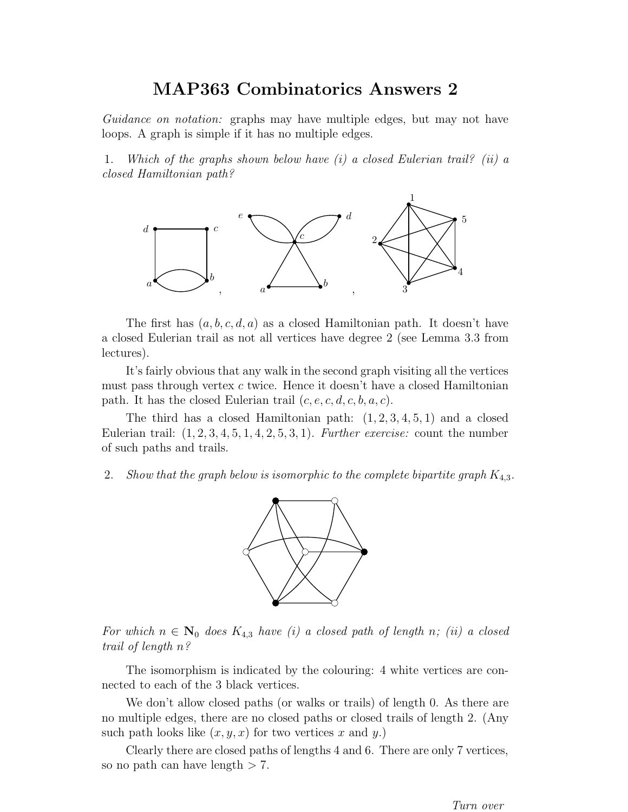Guidance on notation: graphs may have multiple edges, but may not have loops. A graph is simple if it has no multiple edges.

1. Which of the graphs shown below have  $(i)$  a closed Eulerian trail? (ii) a closed Hamiltonian path?



The first has  $(a, b, c, d, a)$  as a closed Hamiltonian path. It doesn't have a closed Eulerian trail as not all vertices have degree 2 (see Lemma 3.3 from lectures).

It's fairly obvious that any walk in the second graph visiting all the vertices must pass through vertex  $c$  twice. Hence it doesn't have a closed Hamiltonian path. It has the closed Eulerian trail  $(c, e, c, d, c, b, a, c)$ .

The third has a closed Hamiltonian path:  $(1, 2, 3, 4, 5, 1)$  and a closed Eulerian trail:  $(1, 2, 3, 4, 5, 1, 4, 2, 5, 3, 1)$ . Further exercise: count the number of such paths and trails.

2. Show that the graph below is isomorphic to the complete bipartite graph  $K_{4,3}$ .



For which  $n \in \mathbb{N}_0$  does  $K_{4,3}$  have (i) a closed path of length n; (ii) a closed trail of length n?

The isomorphism is indicated by the colouring: 4 white vertices are connected to each of the 3 black vertices.

We don't allow closed paths (or walks or trails) of length 0. As there are no multiple edges, there are no closed paths or closed trails of length 2. (Any such path looks like  $(x, y, x)$  for two vertices x and y.)

Clearly there are closed paths of lengths 4 and 6. There are only 7 vertices, so no path can have length  $> 7$ .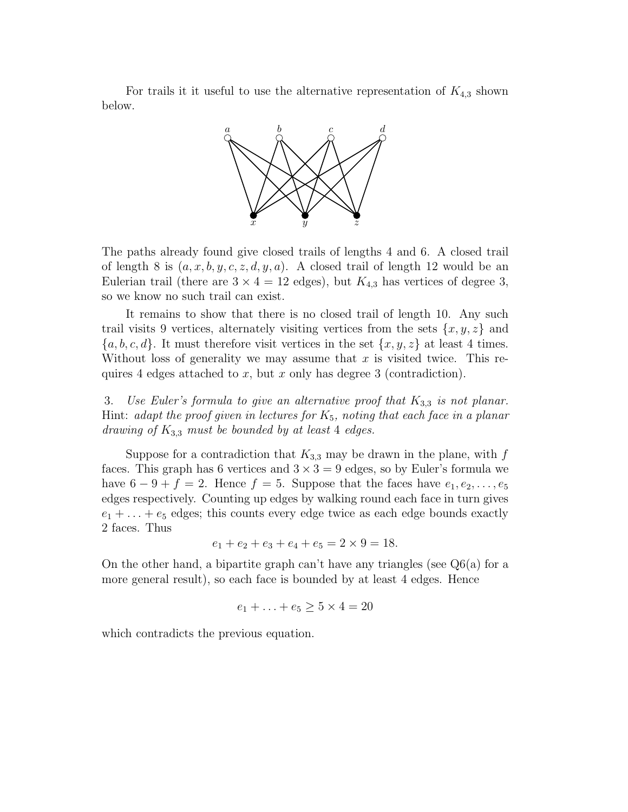For trails it it useful to use the alternative representation of  $K_{4,3}$  shown below.



The paths already found give closed trails of lengths 4 and 6. A closed trail of length 8 is  $(a, x, b, y, c, z, d, y, a)$ . A closed trail of length 12 would be an Eulerian trail (there are  $3 \times 4 = 12$  edges), but  $K_{4,3}$  has vertices of degree 3, so we know no such trail can exist.

It remains to show that there is no closed trail of length 10. Any such trail visits 9 vertices, alternately visiting vertices from the sets  $\{x, y, z\}$  and  $\{a, b, c, d\}$ . It must therefore visit vertices in the set  $\{x, y, z\}$  at least 4 times. Without loss of generality we may assume that  $x$  is visited twice. This requires 4 edges attached to x, but x only has degree 3 (contradiction).

3. Use Euler's formula to give an alternative proof that  $K_{3,3}$  is not planar. Hint: adapt the proof given in lectures for  $K_5$ , noting that each face in a planar drawing of  $K_{3,3}$  must be bounded by at least 4 edges.

Suppose for a contradiction that  $K_{3,3}$  may be drawn in the plane, with f faces. This graph has 6 vertices and  $3 \times 3 = 9$  edges, so by Euler's formula we have  $6 - 9 + f = 2$ . Hence  $f = 5$ . Suppose that the faces have  $e_1, e_2, \ldots, e_5$ edges respectively. Counting up edges by walking round each face in turn gives  $e_1 + \ldots + e_5$  edges; this counts every edge twice as each edge bounds exactly 2 faces. Thus

$$
e_1 + e_2 + e_3 + e_4 + e_5 = 2 \times 9 = 18.
$$

On the other hand, a bipartite graph can't have any triangles (see  $Q6(a)$  for a more general result), so each face is bounded by at least 4 edges. Hence

$$
e_1 + \ldots + e_5 \ge 5 \times 4 = 20
$$

which contradicts the previous equation.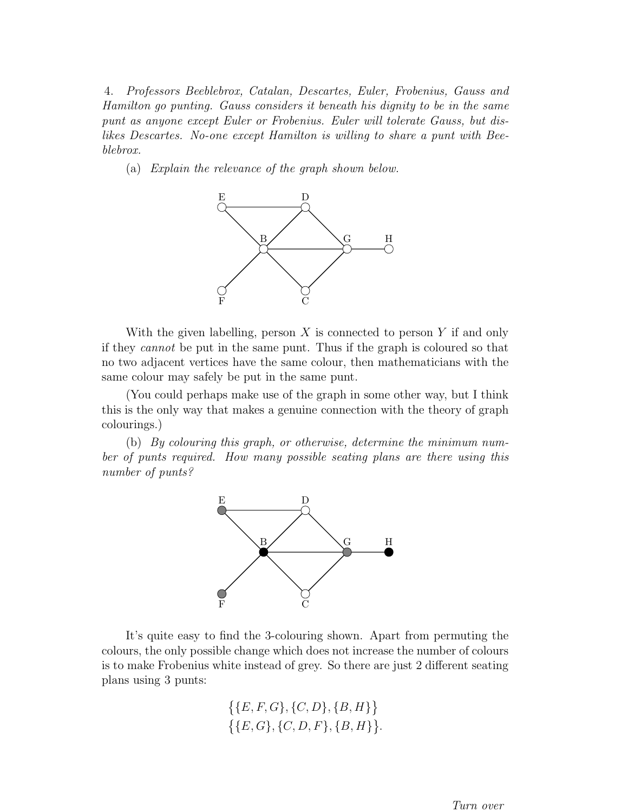4. Professors Beeblebrox, Catalan, Descartes, Euler, Frobenius, Gauss and Hamilton go punting. Gauss considers it beneath his dignity to be in the same punt as anyone except Euler or Frobenius. Euler will tolerate Gauss, but dislikes Descartes. No-one except Hamilton is willing to share a punt with Beeblebrox.

(a) Explain the relevance of the graph shown below.



With the given labelling, person  $X$  is connected to person  $Y$  if and only if they cannot be put in the same punt. Thus if the graph is coloured so that no two adjacent vertices have the same colour, then mathematicians with the same colour may safely be put in the same punt.

(You could perhaps make use of the graph in some other way, but I think this is the only way that makes a genuine connection with the theory of graph colourings.)

(b) By colouring this graph, or otherwise, determine the minimum number of punts required. How many possible seating plans are there using this number of punts?



It's quite easy to find the 3-colouring shown. Apart from permuting the colours, the only possible change which does not increase the number of colours is to make Frobenius white instead of grey. So there are just 2 different seating plans using 3 punts:

$$
\{ \{E, F, G\}, \{C, D\}, \{B, H\} \} \{ \{E, G\}, \{C, D, F\}, \{B, H\} \}.
$$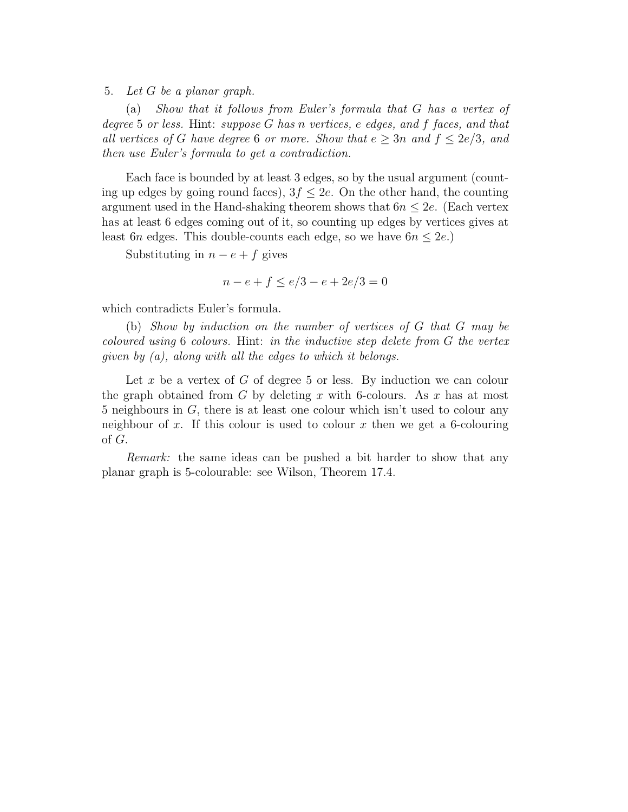5. Let G be a planar graph.

(a) Show that it follows from Euler's formula that G has a vertex of degree 5 or less. Hint: suppose G has n vertices, e edges, and f faces, and that all vertices of G have degree 6 or more. Show that  $e > 3n$  and  $f \leq 2e/3$ , and then use Euler's formula to get a contradiction.

Each face is bounded by at least 3 edges, so by the usual argument (counting up edges by going round faces),  $3f \leq 2e$ . On the other hand, the counting argument used in the Hand-shaking theorem shows that  $6n \leq 2e$ . (Each vertex has at least 6 edges coming out of it, so counting up edges by vertices gives at least 6n edges. This double-counts each edge, so we have  $6n \leq 2e$ .)

Substituting in  $n - e + f$  gives

$$
n - e + f \le e/3 - e + 2e/3 = 0
$$

which contradicts Euler's formula.

(b) Show by induction on the number of vertices of G that G may be coloured using 6 colours. Hint: in the inductive step delete from G the vertex given by  $(a)$ , along with all the edges to which it belongs.

Let x be a vertex of G of degree 5 or less. By induction we can colour the graph obtained from  $G$  by deleting  $x$  with 6-colours. As  $x$  has at most 5 neighbours in G, there is at least one colour which isn't used to colour any neighbour of x. If this colour is used to colour x then we get a 6-colouring of G.

Remark: the same ideas can be pushed a bit harder to show that any planar graph is 5-colourable: see Wilson, Theorem 17.4.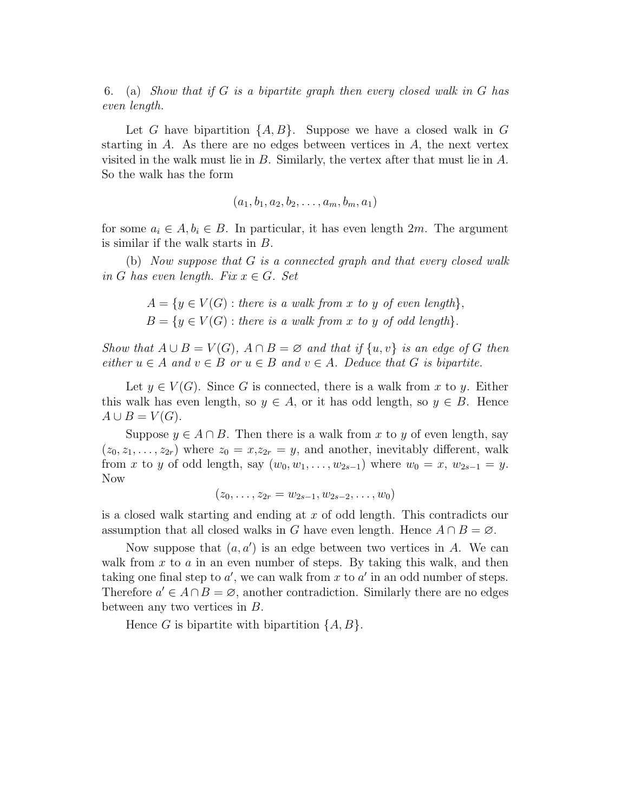6. (a) Show that if G is a bipartite graph then every closed walk in G has even length.

Let G have bipartition  $\{A, B\}$ . Suppose we have a closed walk in G starting in  $A$ . As there are no edges between vertices in  $A$ , the next vertex visited in the walk must lie in B. Similarly, the vertex after that must lie in A. So the walk has the form

 $(a_1, b_1, a_2, b_2, \ldots, a_m, b_m, a_1)$ 

for some  $a_i \in A, b_i \in B$ . In particular, it has even length 2m. The argument is similar if the walk starts in B.

(b) Now suppose that G is a connected graph and that every closed walk in G has even length. Fix  $x \in G$ . Set

$$
A = \{ y \in V(G) : there is a walk from x to y of even length \},
$$
  

$$
B = \{ y \in V(G) : there is a walk from x to y of odd length \}.
$$

Show that  $A \cup B = V(G)$ ,  $A \cap B = \emptyset$  and that if  $\{u, v\}$  is an edge of G then either  $u \in A$  and  $v \in B$  or  $u \in B$  and  $v \in A$ . Deduce that G is bipartite.

Let  $y \in V(G)$ . Since G is connected, there is a walk from x to y. Either this walk has even length, so  $y \in A$ , or it has odd length, so  $y \in B$ . Hence  $A \cup B = V(G).$ 

Suppose  $y \in A \cap B$ . Then there is a walk from x to y of even length, say  $(z_0, z_1, \ldots, z_{2r})$  where  $z_0 = x, z_{2r} = y$ , and another, inevitably different, walk from x to y of odd length, say  $(w_0, w_1, \ldots, w_{2s-1})$  where  $w_0 = x, w_{2s-1} = y$ . Now

$$
(z_0,\ldots,z_{2r}=w_{2s-1},w_{2s-2},\ldots,w_0)
$$

is a closed walk starting and ending at x of odd length. This contradicts our assumption that all closed walks in G have even length. Hence  $A \cap B = \emptyset$ .

Now suppose that  $(a, a')$  is an edge between two vertices in A. We can walk from  $x$  to  $a$  in an even number of steps. By taking this walk, and then taking one final step to  $a'$ , we can walk from x to  $a'$  in an odd number of steps. Therefore  $a' \in A \cap B = \emptyset$ , another contradiction. Similarly there are no edges between any two vertices in B.

Hence G is bipartite with bipartition  $\{A, B\}$ .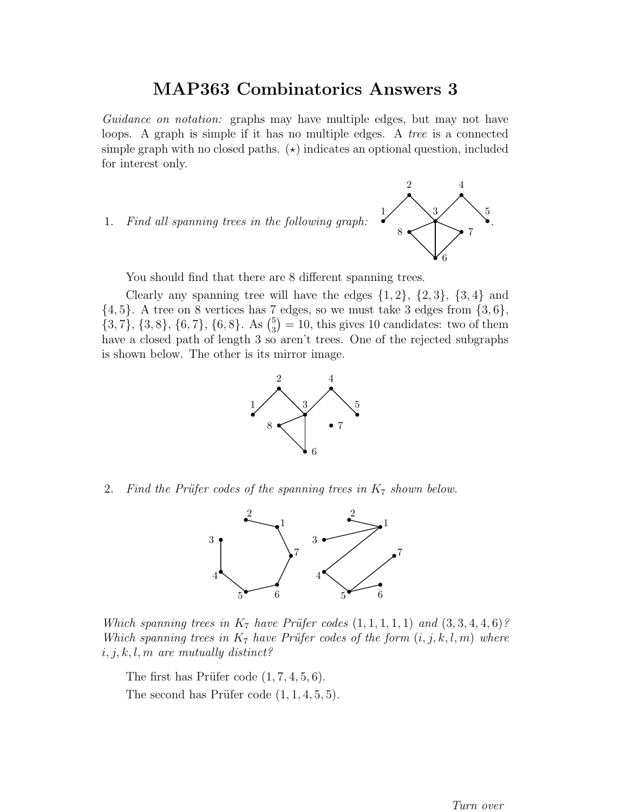Guidance on notation: graphs may have multiple edges, but may not have loops. A graph is simple if it has no multiple edges. A *tree* is a connected simple graph with no closed paths.  $(\star)$  indicates an optional question, included for interest only.

1. Find all spanning trees in the following graph:



You should find that there are 8 different spanning trees.

Clearly any spanning tree will have the edges  $\{1,2\}$ ,  $\{2,3\}$ ,  $\{3,4\}$  and  $\{4, 5\}$ . A tree on 8 vertices has 7 edges, so we must take 3 edges from  $\{3, 6\}$ ,  $\{3, 7\}, \{3, 8\}, \{6, 7\}, \{6, 8\}.$  As  $\binom{5}{3} = 10$ , this gives 10 candidates: two of them have a closed path of length 3 so aren't trees. One of the rejected subgraphs is shown below. The other is its mirror image.



2. Find the Prüfer codes of the spanning trees in  $K_7$  shown below.



Which spanning trees in  $K_7$  have Prüfer codes  $(1, 1, 1, 1, 1)$  and  $(3, 3, 4, 4, 6)$ ? Which spanning trees in  $K_7$  have Prüfer codes of the form  $(i, j, k, l, m)$  where  $i, j, k, l, m$  are mutually distinct?

The first has Prüfer code  $(1, 7, 4, 5, 6)$ . The second has Prüfer code  $(1, 1, 4, 5, 5)$ .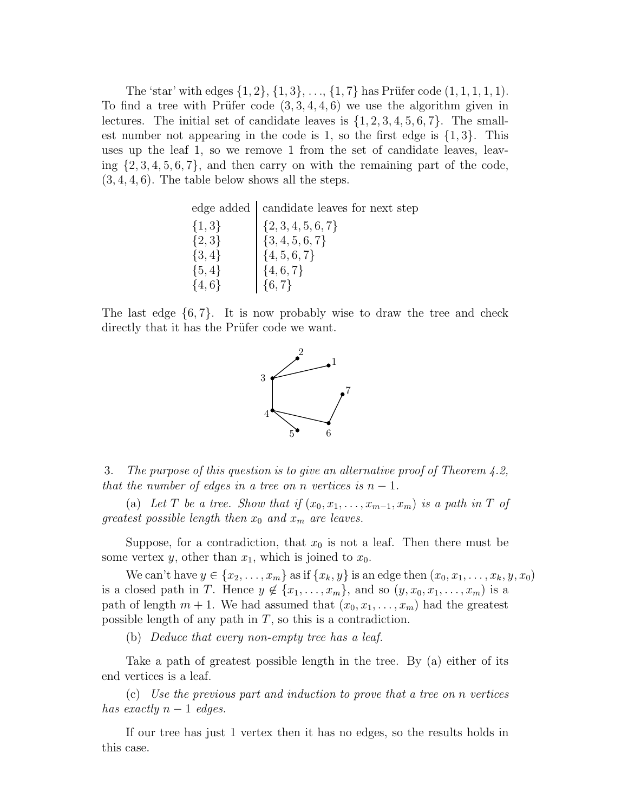The 'star' with edges  $\{1, 2\}, \{1, 3\}, \ldots, \{1, 7\}$  has Prüfer code  $(1, 1, 1, 1, 1)$ . To find a tree with Prüfer code  $(3,3,4,4,6)$  we use the algorithm given in lectures. The initial set of candidate leaves is  $\{1, 2, 3, 4, 5, 6, 7\}$ . The smallest number not appearing in the code is 1, so the first edge is  $\{1,3\}$ . This uses up the leaf 1, so we remove 1 from the set of candidate leaves, leaving  $\{2, 3, 4, 5, 6, 7\}$ , and then carry on with the remaining part of the code,  $(3, 4, 4, 6)$ . The table below shows all the steps.

edge added candidate leaves for next step

| $\{1,3\}$ | $\{2,3,4,5,6,7\}$            |
|-----------|------------------------------|
| $\{2,3\}$ | $\{3, 4, 5, 6, 7\}$          |
| $\{3,4\}$ | $\left[ \{4,5,6,7\} \right]$ |
| $\{5,4\}$ | $\{4,6,7\}$                  |
| $\{4,6\}$ | $\vert \{6,7\} \vert$        |

The last edge  $\{6, 7\}$ . It is now probably wise to draw the tree and check directly that it has the Prüfer code we want.



3. The purpose of this question is to give an alternative proof of Theorem 4.2, that the number of edges in a tree on n vertices is  $n - 1$ .

(a) Let T be a tree. Show that if  $(x_0, x_1, \ldots, x_{m-1}, x_m)$  is a path in T of greatest possible length then  $x_0$  and  $x_m$  are leaves.

Suppose, for a contradiction, that  $x_0$  is not a leaf. Then there must be some vertex y, other than  $x_1$ , which is joined to  $x_0$ .

We can't have  $y \in \{x_2, \ldots, x_m\}$  as if  $\{x_k, y\}$  is an edge then  $(x_0, x_1, \ldots, x_k, y, x_0)$ is a closed path in T. Hence  $y \notin \{x_1, \ldots, x_m\}$ , and so  $(y, x_0, x_1, \ldots, x_m)$  is a path of length  $m + 1$ . We had assumed that  $(x_0, x_1, \ldots, x_m)$  had the greatest possible length of any path in  $T$ , so this is a contradiction.

(b) Deduce that every non-empty tree has a leaf.

Take a path of greatest possible length in the tree. By (a) either of its end vertices is a leaf.

(c) Use the previous part and induction to prove that a tree on n vertices has exactly  $n-1$  edges.

If our tree has just 1 vertex then it has no edges, so the results holds in this case.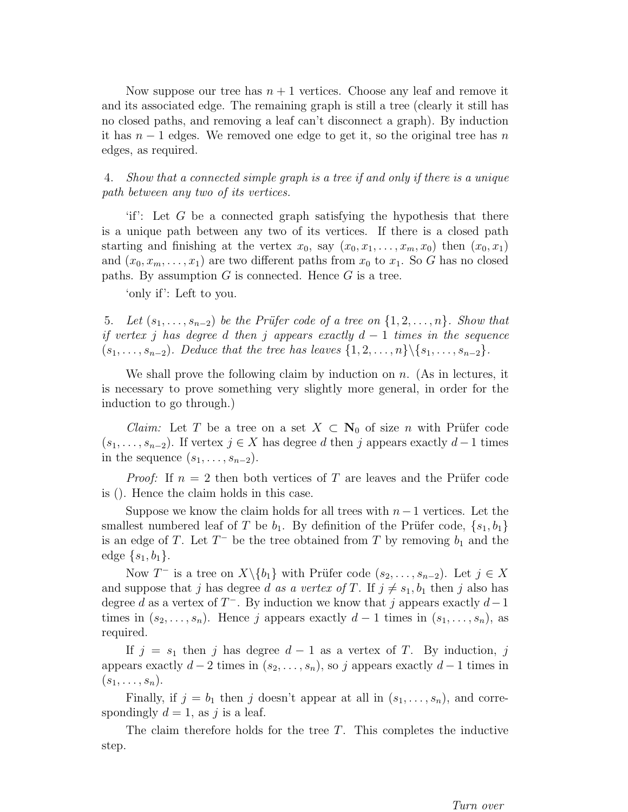Now suppose our tree has  $n + 1$  vertices. Choose any leaf and remove it and its associated edge. The remaining graph is still a tree (clearly it still has no closed paths, and removing a leaf can't disconnect a graph). By induction it has  $n-1$  edges. We removed one edge to get it, so the original tree has n edges, as required.

4. Show that a connected simple graph is a tree if and only if there is a unique path between any two of its vertices.

'if': Let  $G$  be a connected graph satisfying the hypothesis that there is a unique path between any two of its vertices. If there is a closed path starting and finishing at the vertex  $x_0$ , say  $(x_0, x_1, \ldots, x_m, x_0)$  then  $(x_0, x_1)$ and  $(x_0, x_m, \ldots, x_1)$  are two different paths from  $x_0$  to  $x_1$ . So G has no closed paths. By assumption  $G$  is connected. Hence  $G$  is a tree.

'only if': Left to you.

5. Let  $(s_1, \ldots, s_{n-2})$  be the Prüfer code of a tree on  $\{1, 2, \ldots, n\}$ . Show that if vertex j has degree d then j appears exactly  $d-1$  times in the sequence  $(s_1, \ldots, s_{n-2})$ . Deduce that the tree has leaves  $\{1, 2, \ldots, n\} \setminus \{s_1, \ldots, s_{n-2}\}.$ 

We shall prove the following claim by induction on  $n$ . (As in lectures, it is necessary to prove something very slightly more general, in order for the induction to go through.)

*Claim:* Let T be a tree on a set  $X \subset \mathbb{N}_0$  of size n with Prüfer code  $(s_1, \ldots, s_{n-2})$ . If vertex  $j \in X$  has degree d then j appears exactly  $d-1$  times in the sequence  $(s_1, \ldots, s_{n-2})$ .

*Proof:* If  $n = 2$  then both vertices of T are leaves and the Prüfer code is (). Hence the claim holds in this case.

Suppose we know the claim holds for all trees with  $n-1$  vertices. Let the smallest numbered leaf of T be  $b_1$ . By definition of the Prüfer code,  $\{s_1, b_1\}$ is an edge of T. Let  $T^-$  be the tree obtained from T by removing  $b_1$  and the edge  $\{s_1, b_1\}.$ 

Now T<sup>-</sup> is a tree on  $X\backslash \{b_1\}$  with Prüfer code  $(s_2, \ldots, s_{n-2})$ . Let  $j \in X$ and suppose that j has degree d as a vertex of T. If  $j \neq s_1, b_1$  then j also has degree d as a vertex of  $T^-$ . By induction we know that j appears exactly  $d-1$ times in  $(s_2, \ldots, s_n)$ . Hence j appears exactly  $d-1$  times in  $(s_1, \ldots, s_n)$ , as required.

If  $j = s_1$  then j has degree  $d - 1$  as a vertex of T. By induction, j appears exactly  $d-2$  times in  $(s_2, \ldots, s_n)$ , so j appears exactly  $d-1$  times in  $(s_1,\ldots,s_n).$ 

Finally, if  $j = b_1$  then j doesn't appear at all in  $(s_1, \ldots, s_n)$ , and correspondingly  $d = 1$ , as j is a leaf.

The claim therefore holds for the tree  $T$ . This completes the inductive step.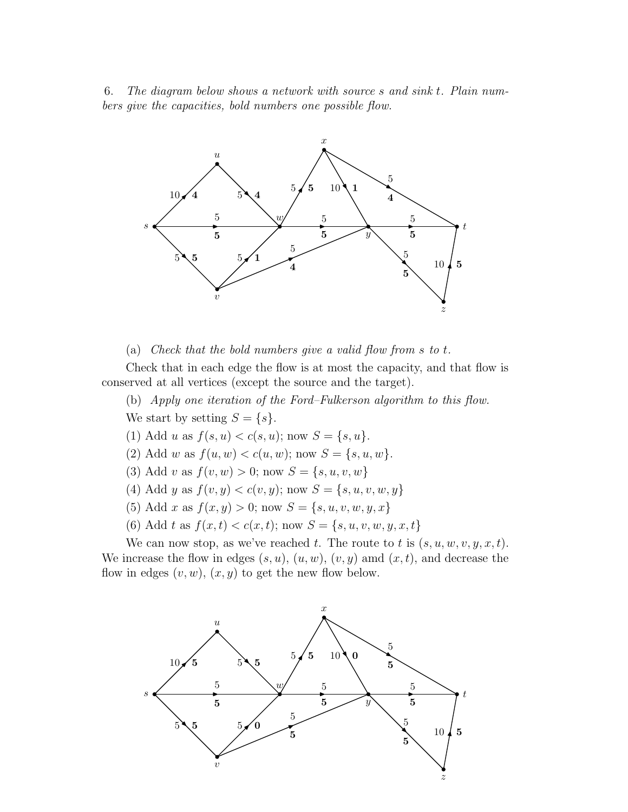6. The diagram below shows a network with source s and sink t. Plain numbers give the capacities, bold numbers one possible flow.



(a) Check that the bold numbers give a valid flow from  $s$  to  $t$ .

Check that in each edge the flow is at most the capacity, and that flow is conserved at all vertices (except the source and the target).

(b) Apply one iteration of the Ford–Fulkerson algorithm to this flow. We start by setting  $S = \{s\}.$ 

- (1) Add u as  $f(s, u) < c(s, u)$ ; now  $S = \{s, u\}.$
- (2) Add w as  $f(u, w) < c(u, w)$ ; now  $S = \{s, u, w\}.$
- (3) Add v as  $f(v, w) > 0$ ; now  $S = \{s, u, v, w\}$
- (4) Add y as  $f(v, y) < c(v, y)$ ; now  $S = \{s, u, v, w, y\}$
- (5) Add x as  $f(x, y) > 0$ ; now  $S = \{s, u, v, w, y, x\}$
- (6) Add t as  $f(x,t) < c(x,t)$ ; now  $S = \{s, u, v, w, y, x, t\}$

We can now stop, as we've reached t. The route to t is  $(s, u, w, v, y, x, t)$ . We increase the flow in edges  $(s, u)$ ,  $(u, w)$ ,  $(v, y)$  amd  $(x, t)$ , and decrease the flow in edges  $(v, w)$ ,  $(x, y)$  to get the new flow below.

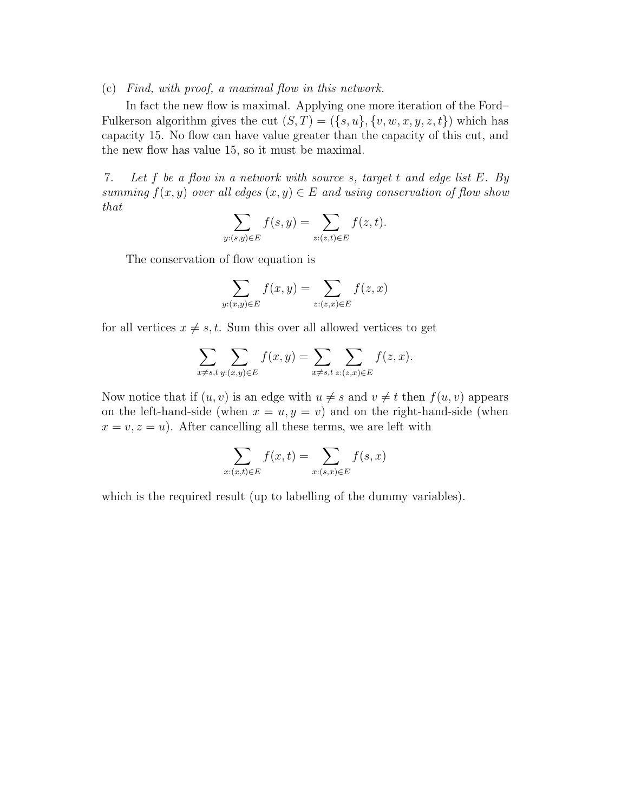(c) Find, with proof, a maximal flow in this network.

In fact the new flow is maximal. Applying one more iteration of the Ford– Fulkerson algorithm gives the cut  $(S,T) = (\{s,u\}, \{v,w,x,y,z,t\})$  which has capacity 15. No flow can have value greater than the capacity of this cut, and the new flow has value 15, so it must be maximal.

7. Let f be a flow in a network with source s, target t and edge list E. By summing  $f(x, y)$  over all edges  $(x, y) \in E$  and using conservation of flow show that

$$
\sum_{y:(s,y)\in E} f(s,y) = \sum_{z:(z,t)\in E} f(z,t).
$$

The conservation of flow equation is

$$
\sum_{y:(x,y)\in E} f(x,y) = \sum_{z:(z,x)\in E} f(z,x)
$$

for all vertices  $x \neq s, t$ . Sum this over all allowed vertices to get

$$
\sum_{x \neq s,t} \sum_{y:(x,y) \in E} f(x,y) = \sum_{x \neq s,t} \sum_{z:(z,x) \in E} f(z,x).
$$

Now notice that if  $(u, v)$  is an edge with  $u \neq s$  and  $v \neq t$  then  $f(u, v)$  appears on the left-hand-side (when  $x = u, y = v$ ) and on the right-hand-side (when  $x = v, z = u$ ). After cancelling all these terms, we are left with

$$
\sum_{x:(x,t)\in E} f(x,t) = \sum_{x:(s,x)\in E} f(s,x)
$$

which is the required result (up to labelling of the dummy variables).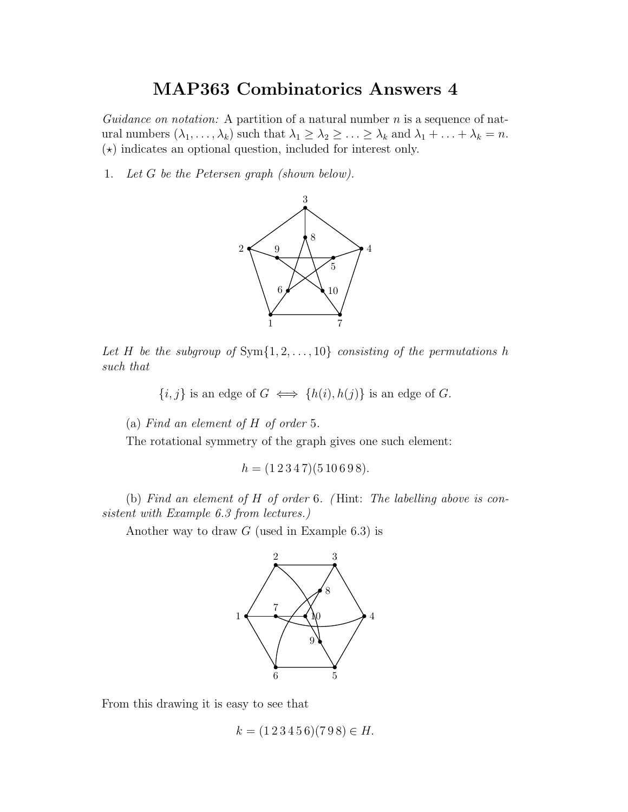Guidance on notation: A partition of a natural number  $n$  is a sequence of natural numbers  $(\lambda_1, \ldots, \lambda_k)$  such that  $\lambda_1 \geq \lambda_2 \geq \ldots \geq \lambda_k$  and  $\lambda_1 + \ldots + \lambda_k = n$ .  $(\star)$  indicates an optional question, included for interest only.

1. Let G be the Petersen graph (shown below).



Let H be the subgroup of  $Sym{1, 2, ..., 10}$  consisting of the permutations h such that

 ${i, j}$  is an edge of  $G \iff \{h(i), h(j)\}$  is an edge of  $G$ .

(a) Find an element of H of order 5.

The rotational symmetry of the graph gives one such element:

 $h = (1 2 3 4 7)(5 10 6 9 8).$ 

(b) Find an element of H of order 6. ( Hint: The labelling above is consistent with Example 6.3 from lectures.)

Another way to draw  $G$  (used in Example 6.3) is



From this drawing it is easy to see that

$$
k = (1\,2\,3\,4\,5\,6)(7\,9\,8) \in H.
$$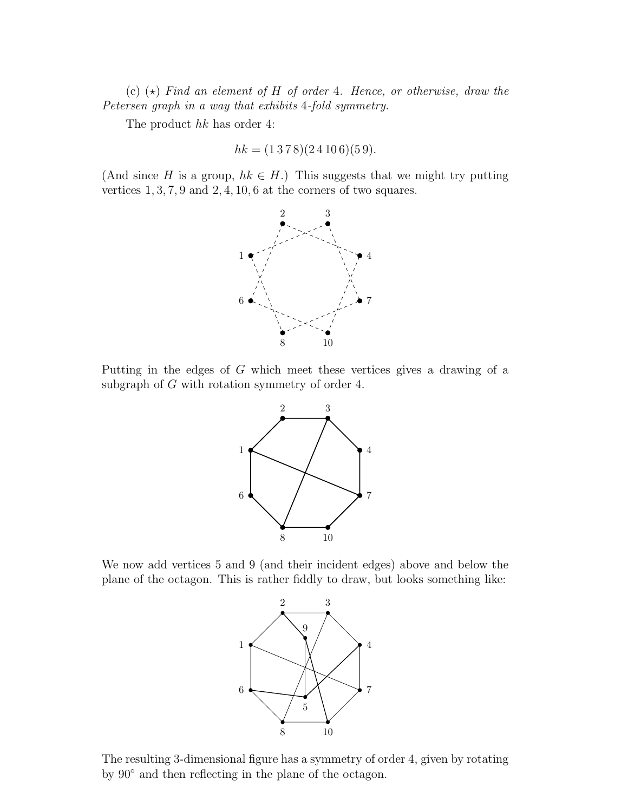(c)  $(\star)$  Find an element of H of order 4. Hence, or otherwise, draw the Petersen graph in a way that exhibits 4-fold symmetry.

The product hk has order 4:

$$
hk = (1378)(24106)(59).
$$

(And since H is a group,  $hk \in H$ .) This suggests that we might try putting vertices 1, 3, 7, 9 and 2, 4, 10, 6 at the corners of two squares.



Putting in the edges of G which meet these vertices gives a drawing of a subgraph of G with rotation symmetry of order 4.



We now add vertices 5 and 9 (and their incident edges) above and below the plane of the octagon. This is rather fiddly to draw, but looks something like:



The resulting 3-dimensional figure has a symmetry of order 4, given by rotating by 90◦ and then reflecting in the plane of the octagon.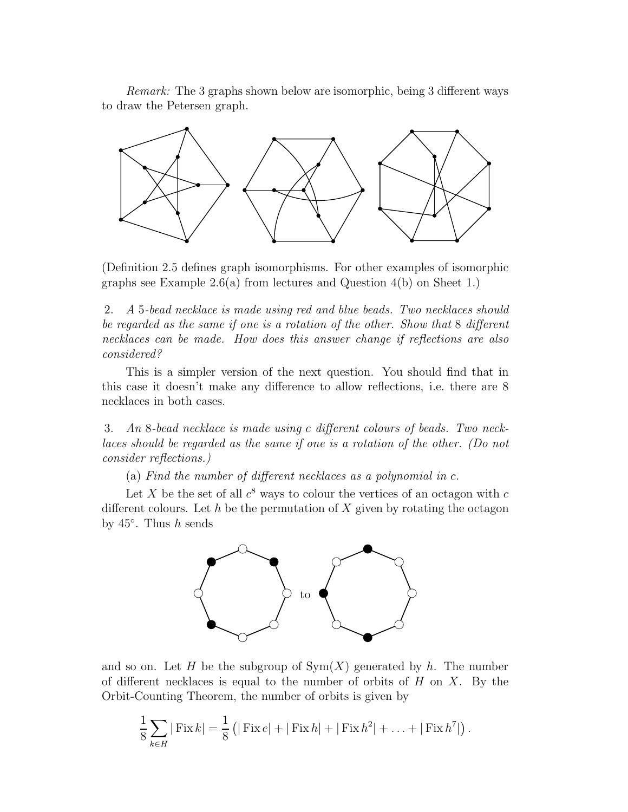Remark: The 3 graphs shown below are isomorphic, being 3 different ways to draw the Petersen graph.



(Definition 2.5 defines graph isomorphisms. For other examples of isomorphic graphs see Example 2.6(a) from lectures and Question  $4(b)$  on Sheet 1.)

2. A 5-bead necklace is made using red and blue beads. Two necklaces should be regarded as the same if one is a rotation of the other. Show that 8 different necklaces can be made. How does this answer change if reflections are also considered?

This is a simpler version of the next question. You should find that in this case it doesn't make any difference to allow reflections, i.e. there are 8 necklaces in both cases.

3. An 8-bead necklace is made using c different colours of beads. Two necklaces should be regarded as the same if one is a rotation of the other. (Do not consider reflections.)

(a) Find the number of different necklaces as a polynomial in c.

Let X be the set of all  $c^8$  ways to colour the vertices of an octagon with c different colours. Let h be the permutation of X given by rotating the octagon by  $45^\circ$ . Thus h sends



and so on. Let H be the subgroup of  $Sym(X)$  generated by h. The number of different necklaces is equal to the number of orbits of  $H$  on  $X$ . By the Orbit-Counting Theorem, the number of orbits is given by

$$
\frac{1}{8} \sum_{k \in H} | \text{Fix } k | = \frac{1}{8} (| \text{Fix } k | + | \text{Fix } h | + | \text{Fix } h^2 | + \ldots + | \text{Fix } h^7 |).
$$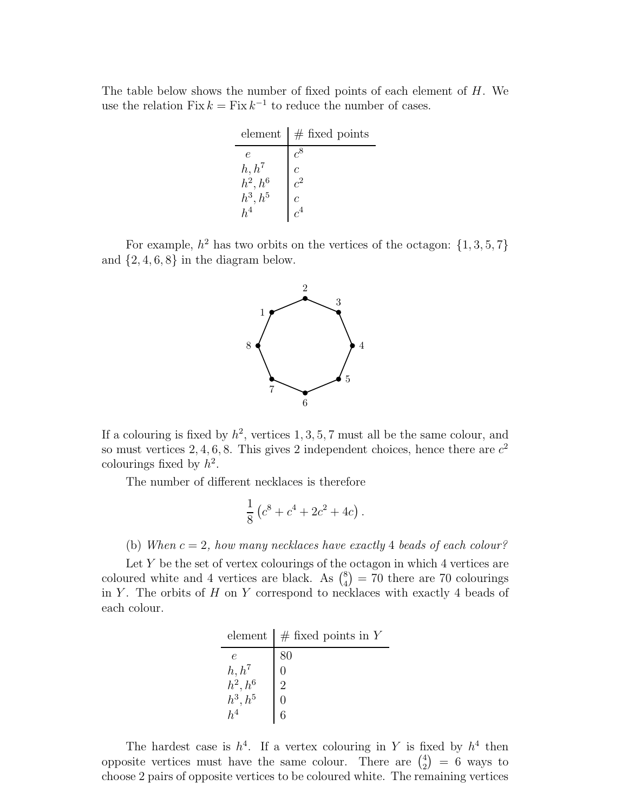The table below shows the number of fixed points of each element of  $H$ . We use the relation Fix  $k = Fix k^{-1}$  to reduce the number of cases.

| element    | $#$ fixed points |
|------------|------------------|
| $\epsilon$ | $c^8$            |
| $h, h^7$   | Ċ                |
| $h^2, h^6$ | $c^2$            |
| $h^3,h^5$  | Ċ                |
|            |                  |

For example,  $h^2$  has two orbits on the vertices of the octagon:  $\{1, 3, 5, 7\}$ and  $\{2, 4, 6, 8\}$  in the diagram below.



If a colouring is fixed by  $h^2$ , vertices 1, 3, 5, 7 must all be the same colour, and so must vertices 2, 4, 6, 8. This gives 2 independent choices, hence there are  $c^2$ colourings fixed by  $h^2$ .

The number of different necklaces is therefore

$$
\frac{1}{8} (c^8 + c^4 + 2c^2 + 4c).
$$

(b) When  $c = 2$ , how many necklaces have exactly 4 beads of each colour?

Let  $Y$  be the set of vertex colourings of the octagon in which 4 vertices are coloured white and 4 vertices are black. As  $\binom{8}{4} = 70$  there are 70 colourings in Y. The orbits of  $H$  on  $Y$  correspond to necklaces with exactly 4 beads of each colour.

element  $#$  fixed points in Y

| ---------                                                      | $\frac{1}{2}$  |
|----------------------------------------------------------------|----------------|
| $\epsilon$                                                     | 80             |
|                                                                |                |
|                                                                | $\overline{2}$ |
| $\begin{array}{l} h,h^7\\ h^2,h^6\\ h^3,h^5\\ h^4 \end{array}$ |                |
|                                                                | 6              |

The hardest case is  $h^4$ . If a vertex colouring in Y is fixed by  $h^4$  then opposite vertices must have the same colour. There are  $\binom{4}{2} = 6$  ways to choose 2 pairs of opposite vertices to be coloured white. The remaining vertices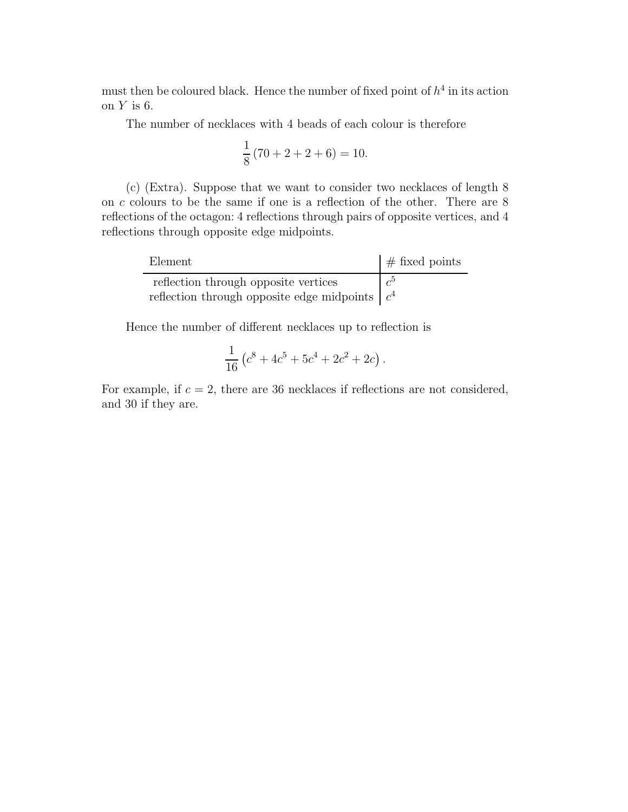must then be coloured black. Hence the number of fixed point of  $h^4$  in its action on  $Y$  is 6.

The number of necklaces with 4 beads of each colour is therefore

$$
\frac{1}{8}(70 + 2 + 2 + 6) = 10.
$$

(c) (Extra). Suppose that we want to consider two necklaces of length 8 on c colours to be the same if one is a reflection of the other. There are 8 reflections of the octagon: 4 reflections through pairs of opposite vertices, and 4 reflections through opposite edge midpoints.

| Element                                            | $\#$ fixed points |
|----------------------------------------------------|-------------------|
| reflection through opposite vertices               | $\mathcal{L}^5$   |
| reflection through opposite edge midpoints $ c^4 $ |                   |

Hence the number of different necklaces up to reflection is

$$
\frac{1}{16} \left( c^8 + 4c^5 + 5c^4 + 2c^2 + 2c \right).
$$

For example, if  $c = 2$ , there are 36 necklaces if reflections are not considered, and 30 if they are.